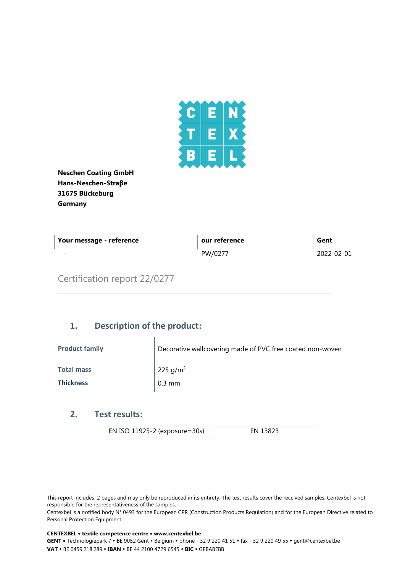

**Neschen Coating GmbH Hans-Neschen-Straβe 31675 Bückeburg Germany**

| Your message - reference | our reference | Gent       |
|--------------------------|---------------|------------|
| $\overline{\phantom{0}}$ | PW/0277       | 2022-02-01 |

## Certification report 22/0277

## **1. Description of the product:**

| <b>Product family</b> | Decorative wallcovering made of PVC free coated non-woven |
|-----------------------|-----------------------------------------------------------|
| <b>Total mass</b>     | 225 g/m <sup>2</sup>                                      |
| <b>Thickness</b>      | $0.3$ mm                                                  |

## **2. Test results:**

| EN ISO 11925-2 (exposure=30s) | EN 13823 |
|-------------------------------|----------|
|-------------------------------|----------|

This report includes 2 pages and may only be reproduced in its entirety. The test results cover the received samples. Centexbel is not responsible for the representativeness of the samples.

Centexbel is a notified body N° 0493 for the European CPR (Construction Products Regulation) and for the European Directive related to Personal Protection Equipment.